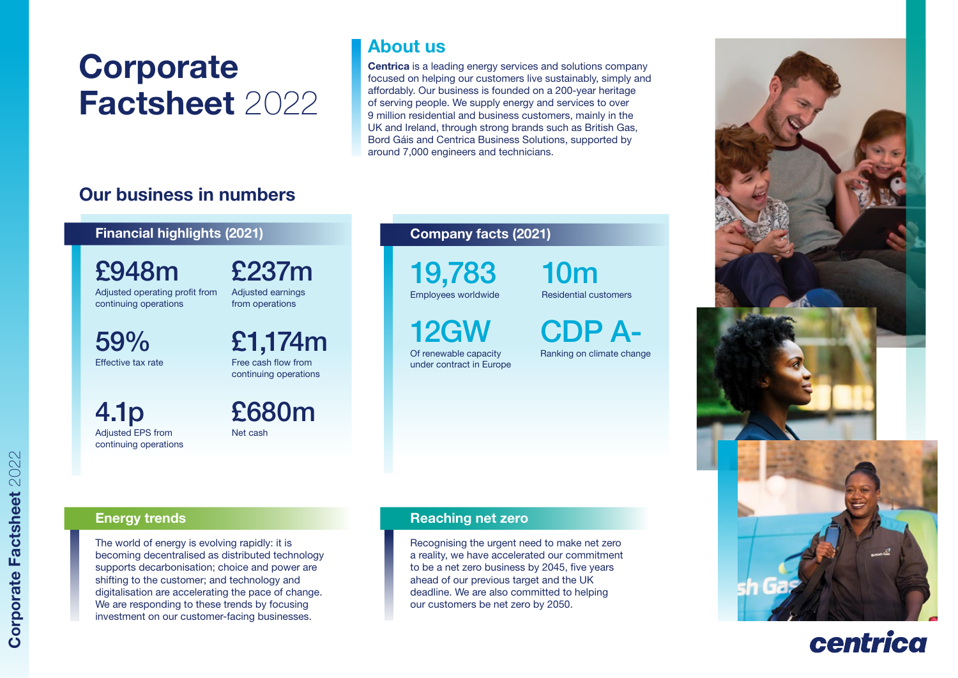# **Corporate** Factsheet 2022

# About us

Centrica is a leading energy services and solutions company focused on helping our customers live sustainably, simply and affordably. Our business is founded on a 200-year heritage of serving people. We supply energy and services to over 9 million residential and business customers, mainly in the UK and Ireland, through strong brands such as British Gas, Bord Gáis and Centrica Business Solutions, supported by around 7,000 engineers and technicians.

# Our business in numbers

### Financial highlights (2021)

£948m Adjusted operating profit from continuing operations

£237m Adjusted earnings

59% Effective tax rate £1,174m from operations

Free cash flow from continuing operations

£680m

Net cash

4.1p Adjusted EPS from continuing operations

# Company facts (2021)

19,783 Employees worldwide

12GW Of renewable capacity under contract in Europe 10m Residential customers

CDP A-

Ranking on climate change



The world of energy is evolving rapidly: it is becoming decentralised as distributed technology supports decarbonisation; choice and power are shifting to the customer; and technology and digitalisation are accelerating the pace of change. We are responding to these trends by focusing investment on our customer-facing businesses.

#### Energy trends **Reaching net zero** Reaching net zero

Recognising the urgent need to make net zero a reality, we have accelerated our commitment to be a net zero business by 2045, five years ahead of our previous target and the UK deadline. We are also committed to helping our customers be net zero by 2050.



# centrica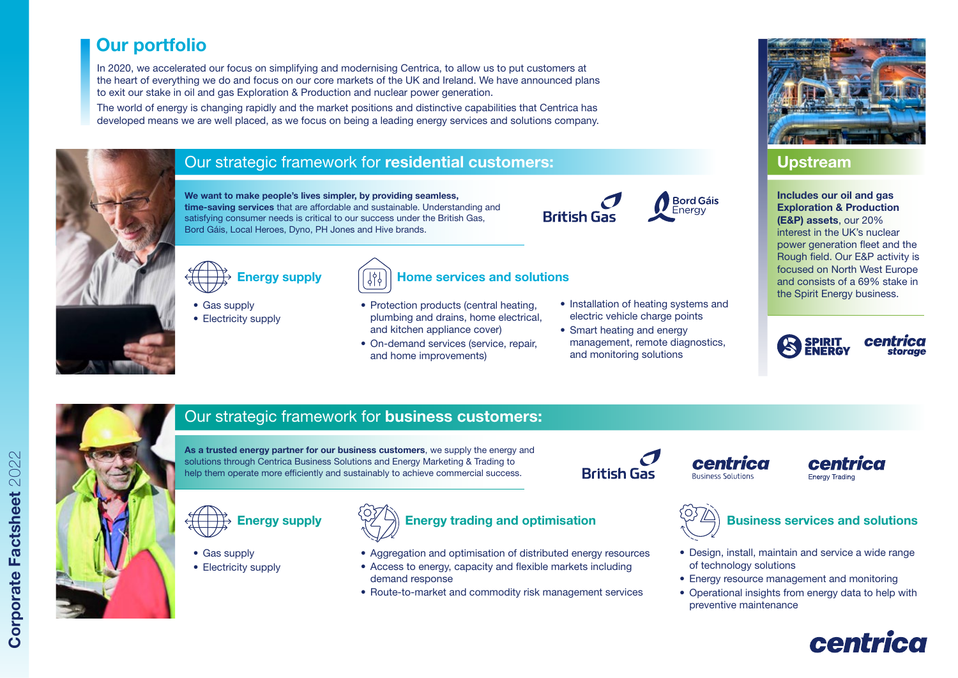# Our portfolio

In 2020, we accelerated our focus on simplifying and modernising Centrica, to allow us to put customers at the heart of everything we do and focus on our core markets of the UK and Ireland. We have announced plans to exit our stake in oil and gas Exploration & Production and nuclear power generation.

The world of energy is changing rapidly and the market positions and distinctive capabilities that Centrica has developed means we are well placed, as we focus on being a leading energy services and solutions company.



### Our strategic framework for residential customers:

We want to make people's lives simpler, by providing seamless, time-saving services that are affordable and sustainable. Understanding and satisfying consumer needs is critical to our success under the British Gas, Bord Gáis, Local Heroes, Dyno, PH Jones and Hive brands.

Energy supply

Energy supply

• Gas supply • Electricity supply

• Gas supply • Electricity supply





**Bord Gáis** Energy

• Smart heating and energy management, remote diagnostics, and monitoring solutions



## Upstream

Includes our oil and gas Exploration & Production (E&P) assets, our 20% interest in the UK's nuclear power generation fleet and the Rough field. Our E&P activity is focused on North West Europe and consists of a 69% stake in the Spirit Energy business.





## Our strategic framework for business customers:

As a trusted energy partner for our business customers, we supply the energy and solutions through Centrica Business Solutions and Energy Marketing & Trading to help them operate more efficiently and sustainably to achieve commercial success.

demand response



• Aggregation and optimisation of distributed energy resources • Access to energy, capacity and flexible markets including

Home services and solutions

• Protection products (central heating, plumbing and drains, home electrical,

and kitchen appliance cover) • On-demand services (service, repair,

and home improvements)

• Route-to-market and commodity risk management services

centrica **Ruginger Solutions** 

#### centrica Energy Trading





- Design, install, maintain and service a wide range of technology solutions
- Energy resource management and monitoring
- Operational insights from energy data to help with preventive maintenance